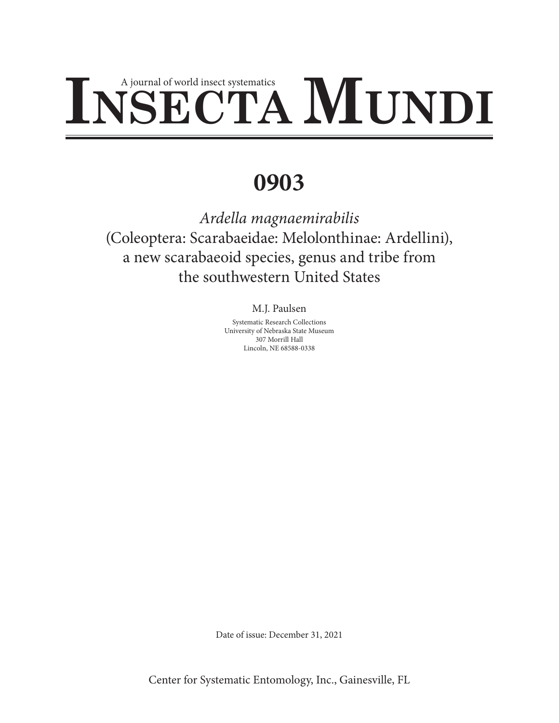# INSECTA MUND

# **0903**

*Ardella magnaemirabilis*  (Coleoptera: Scarabaeidae: Melolonthinae: Ardellini), a new scarabaeoid species, genus and tribe from the southwestern United States

# M.J. Paulsen

Systematic Research Collections University of Nebraska State Museum 307 Morrill Hall Lincoln, NE 68588-0338

Date of issue: December 31, 2021

Center for Systematic Entomology, Inc., Gainesville, FL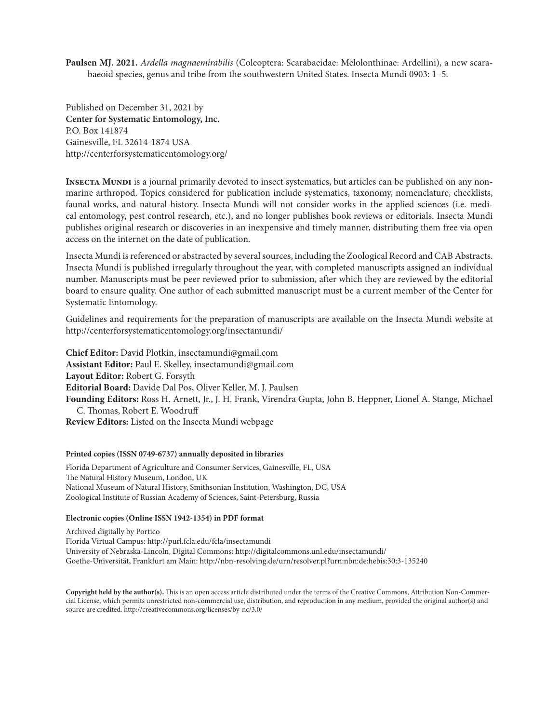**Paulsen MJ. 2021.** *Ardella magnaemirabilis* (Coleoptera: Scarabaeidae: Melolonthinae: Ardellini), a new scarabaeoid species, genus and tribe from the southwestern United States. Insecta Mundi 0903: 1–5.

Published on December 31, 2021 by **Center for Systematic Entomology, Inc.** P.O. Box 141874 Gainesville, FL 32614-1874 USA http://centerforsystematicentomology.org/

**INSECTA MUNDI** is a journal primarily devoted to insect systematics, but articles can be published on any nonmarine arthropod. Topics considered for publication include systematics, taxonomy, nomenclature, checklists, faunal works, and natural history. Insecta Mundi will not consider works in the applied sciences (i.e. medical entomology, pest control research, etc.), and no longer publishes book reviews or editorials. Insecta Mundi publishes original research or discoveries in an inexpensive and timely manner, distributing them free via open access on the internet on the date of publication.

Insecta Mundi is referenced or abstracted by several sources, including the Zoological Record and CAB Abstracts. Insecta Mundi is published irregularly throughout the year, with completed manuscripts assigned an individual number. Manuscripts must be peer reviewed prior to submission, after which they are reviewed by the editorial board to ensure quality. One author of each submitted manuscript must be a current member of the Center for Systematic Entomology.

Guidelines and requirements for the preparation of manuscripts are available on the Insecta Mundi website at http://centerforsystematicentomology.org/insectamundi/

**Chief Editor:** David Plotkin, insectamundi@gmail.com **Assistant Editor:** Paul E. Skelley, insectamundi@gmail.com **Layout Editor:** Robert G. Forsyth **Editorial Board:** Davide Dal Pos, Oliver Keller, M. J. Paulsen **Founding Editors:** Ross H. Arnett, Jr., J. H. Frank, Virendra Gupta, John B. Heppner, Lionel A. Stange, Michael C. Thomas, Robert E. Woodruff **Review Editors:** Listed on the Insecta Mundi webpage

#### **Printed copies (ISSN 0749-6737) annually deposited in libraries**

Florida Department of Agriculture and Consumer Services, Gainesville, FL, USA The Natural History Museum, London, UK National Museum of Natural History, Smithsonian Institution, Washington, DC, USA Zoological Institute of Russian Academy of Sciences, Saint-Petersburg, Russia

#### **Electronic copies (Online ISSN 1942-1354) in PDF format**

Archived digitally by Portico Florida Virtual Campus: <http://purl.fcla.edu/fcla/insectamundi> University of Nebraska-Lincoln, Digital Commons: <http://digitalcommons.unl.edu/insectamundi/> Goethe-Universität, Frankfurt am Main: <http://nbn-resolving.de/urn/resolver.pl?urn:nbn:de:hebis:30:3-135240>

**Copyright held by the author(s).** This is an open access article distributed under the terms of the Creative Commons, Attribution Non-Commercial License, which permits unrestricted non-commercial use, distribution, and reproduction in any medium, provided the original author(s) and source are credited. <http://creativecommons.org/licenses/by-nc/3.0/>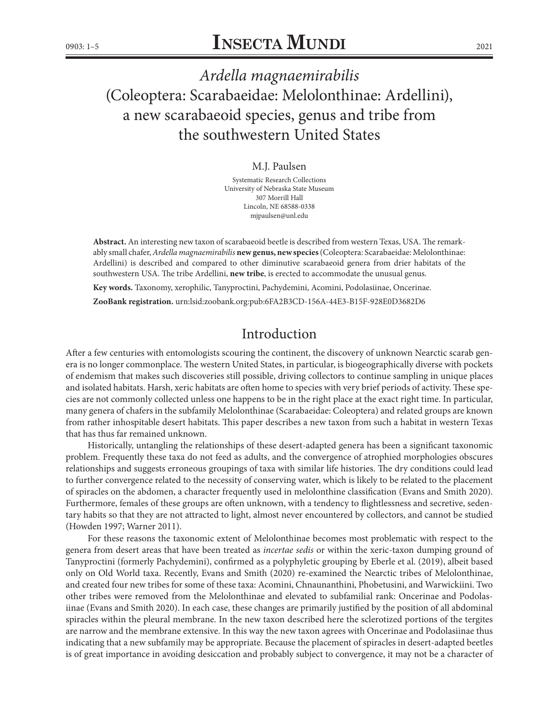# *Ardella magnaemirabilis*  (Coleoptera: Scarabaeidae: Melolonthinae: Ardellini), a new scarabaeoid species, genus and tribe from the southwestern United States

#### M.J. Paulsen

Systematic Research Collections University of Nebraska State Museum 307 Morrill Hall Lincoln, NE 68588-0338 mjpaulsen@unl.edu

**Abstract.** An interesting new taxon of scarabaeoid beetle is described from western Texas, USA. The remarkably small chafer, *Ardella magnaemirabilis* **new genus, new species** (Coleoptera: Scarabaeidae: Melolonthinae: Ardellini) is described and compared to other diminutive scarabaeoid genera from drier habitats of the southwestern USA. The tribe Ardellini, **new tribe**, is erected to accommodate the unusual genus.

**Key words.** Taxonomy, xerophilic, Tanyproctini, Pachydemini, Acomini, Podolasiinae, Oncerinae.

**ZooBank registration.** [urn:lsid:zoobank.org:pub:6FA2B3CD-156A-44E3-B15F-928E0D3682D6](http://zoobank.org/urn:lsid:zoobank.org:pub:6FA2B3CD-156A-44E3-B15F-928E0D3682D6)

## Introduction

After a few centuries with entomologists scouring the continent, the discovery of unknown Nearctic scarab genera is no longer commonplace. The western United States, in particular, is biogeographically diverse with pockets of endemism that makes such discoveries still possible, driving collectors to continue sampling in unique places and isolated habitats. Harsh, xeric habitats are often home to species with very brief periods of activity. These species are not commonly collected unless one happens to be in the right place at the exact right time. In particular, many genera of chafers in the subfamily Melolonthinae (Scarabaeidae: Coleoptera) and related groups are known from rather inhospitable desert habitats. This paper describes a new taxon from such a habitat in western Texas that has thus far remained unknown.

Historically, untangling the relationships of these desert-adapted genera has been a significant taxonomic problem. Frequently these taxa do not feed as adults, and the convergence of atrophied morphologies obscures relationships and suggests erroneous groupings of taxa with similar life histories. The dry conditions could lead to further convergence related to the necessity of conserving water, which is likely to be related to the placement of spiracles on the abdomen, a character frequently used in melolonthine classification (Evans and Smith 2020). Furthermore, females of these groups are often unknown, with a tendency to flightlessness and secretive, sedentary habits so that they are not attracted to light, almost never encountered by collectors, and cannot be studied (Howden 1997; Warner 2011).

For these reasons the taxonomic extent of Melolonthinae becomes most problematic with respect to the genera from desert areas that have been treated as *incertae sedis* or within the xeric-taxon dumping ground of Tanyproctini (formerly Pachydemini), confirmed as a polyphyletic grouping by Eberle et al. (2019), albeit based only on Old World taxa. Recently, Evans and Smith (2020) re-examined the Nearctic tribes of Melolonthinae, and created four new tribes for some of these taxa: Acomini, Chnaunanthini, Phobetusini, and Warwickiini. Two other tribes were removed from the Melolonthinae and elevated to subfamilial rank: Oncerinae and Podolasiinae (Evans and Smith 2020). In each case, these changes are primarily justified by the position of all abdominal spiracles within the pleural membrane. In the new taxon described here the sclerotized portions of the tergites are narrow and the membrane extensive. In this way the new taxon agrees with Oncerinae and Podolasiinae thus indicating that a new subfamily may be appropriate. Because the placement of spiracles in desert-adapted beetles is of great importance in avoiding desiccation and probably subject to convergence, it may not be a character of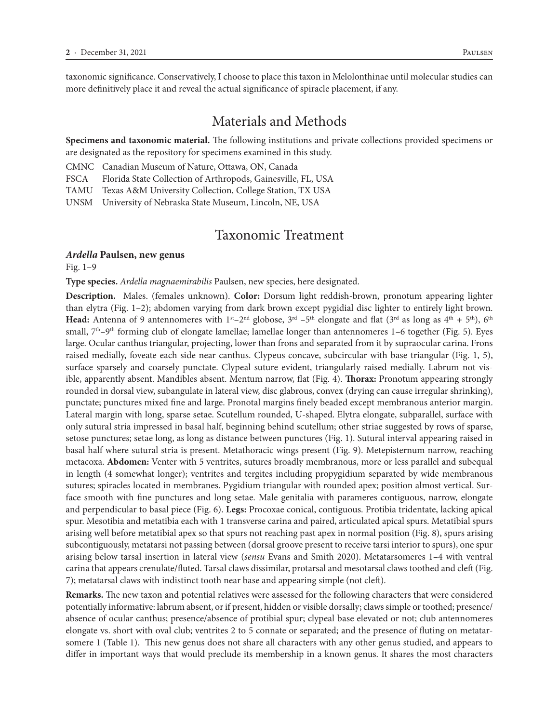taxonomic significance. Conservatively, I choose to place this taxon in Melolonthinae until molecular studies can more definitively place it and reveal the actual significance of spiracle placement, if any.

#### Materials and Methods

**Specimens and taxonomic material.** The following institutions and private collections provided specimens or are designated as the repository for specimens examined in this study.

CMNC Canadian Museum of Nature, Ottawa, ON, Canada

FSCA Florida State Collection of Arthropods, Gainesville, FL, USA

TAMU Texas A&M University Collection, College Station, TX USA

UNSM University of Nebraska State Museum, Lincoln, NE, USA

#### Taxonomic Treatment

#### *Ardella* **Paulsen, new genus**

Fig. 1–9

**Type species.** *Ardella magnaemirabilis* Paulsen, new species, here designated.

**Description.** Males. (females unknown). **Color:** Dorsum light reddish-brown, pronotum appearing lighter than elytra (Fig. 1–2); abdomen varying from dark brown except pygidial disc lighter to entirely light brown. **Head:** Antenna of 9 antennomeres with  $1^{st} - 2^{nd}$  globose,  $3^{rd} - 5^{th}$  elongate and flat  $(3^{rd}$  as long as  $4^{th} + 5^{th}$ ),  $6^{th}$ small,  $7<sup>th</sup>-9<sup>th</sup>$  forming club of elongate lamellae; lamellae longer than antennomeres 1–6 together (Fig. 5). Eyes large. Ocular canthus triangular, projecting, lower than frons and separated from it by supraocular carina. Frons raised medially, foveate each side near canthus. Clypeus concave, subcircular with base triangular (Fig. 1, 5), surface sparsely and coarsely punctate. Clypeal suture evident, triangularly raised medially. Labrum not visible, apparently absent. Mandibles absent. Mentum narrow, flat (Fig. 4). **Thorax:** Pronotum appearing strongly rounded in dorsal view, subangulate in lateral view, disc glabrous, convex (drying can cause irregular shrinking), punctate; punctures mixed fine and large. Pronotal margins finely beaded except membranous anterior margin. Lateral margin with long, sparse setae. Scutellum rounded, U-shaped. Elytra elongate, subparallel, surface with only sutural stria impressed in basal half, beginning behind scutellum; other striae suggested by rows of sparse, setose punctures; setae long, as long as distance between punctures (Fig. 1). Sutural interval appearing raised in basal half where sutural stria is present. Metathoracic wings present (Fig. 9). Metepisternum narrow, reaching metacoxa. **Abdomen:** Venter with 5 ventrites, sutures broadly membranous, more or less parallel and subequal in length (4 somewhat longer); ventrites and tergites including propygidium separated by wide membranous sutures; spiracles located in membranes. Pygidium triangular with rounded apex; position almost vertical. Surface smooth with fine punctures and long setae. Male genitalia with parameres contiguous, narrow, elongate and perpendicular to basal piece (Fig. 6). **Legs:** Procoxae conical, contiguous. Protibia tridentate, lacking apical spur. Mesotibia and metatibia each with 1 transverse carina and paired, articulated apical spurs. Metatibial spurs arising well before metatibial apex so that spurs not reaching past apex in normal position (Fig. 8), spurs arising subcontiguously, metatarsi not passing between (dorsal groove present to receive tarsi interior to spurs), one spur arising below tarsal insertion in lateral view (*sensu* Evans and Smith 2020). Metatarsomeres 1–4 with ventral carina that appears crenulate/fluted. Tarsal claws dissimilar, protarsal and mesotarsal claws toothed and cleft (Fig. 7); metatarsal claws with indistinct tooth near base and appearing simple (not cleft).

**Remarks.** The new taxon and potential relatives were assessed for the following characters that were considered potentially informative: labrum absent, or if present, hidden or visible dorsally; claws simple or toothed; presence/ absence of ocular canthus; presence/absence of protibial spur; clypeal base elevated or not; club antennomeres elongate vs. short with oval club; ventrites 2 to 5 connate or separated; and the presence of fluting on metatarsomere 1 (Table 1). This new genus does not share all characters with any other genus studied, and appears to differ in important ways that would preclude its membership in a known genus. It shares the most characters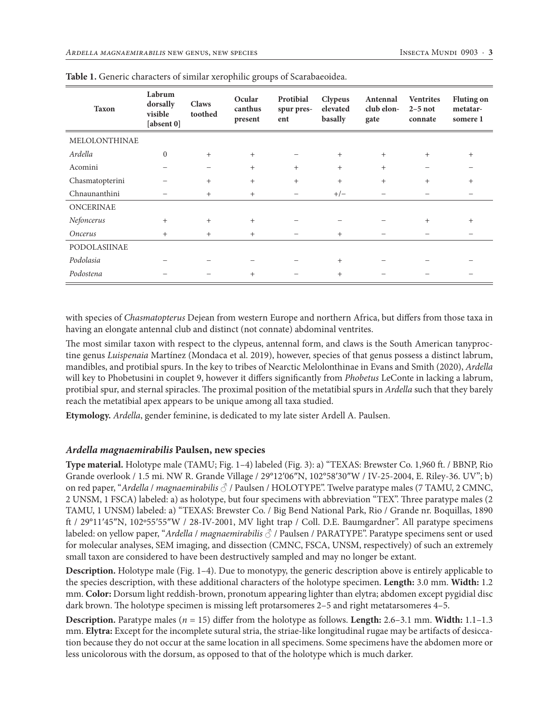| <b>Taxon</b>     | Labrum<br>dorsally<br>visible<br>[absent 0] | <b>Claws</b><br>toothed | Ocular<br>canthus<br>present | Protibial<br>spur pres-<br>ent | <b>Clypeus</b><br>elevated<br>basally | Antennal<br>club elon-<br>gate | <b>Ventrites</b><br>$2-5$ not<br>connate | <b>Fluting on</b><br>metatar-<br>somere 1 |
|------------------|---------------------------------------------|-------------------------|------------------------------|--------------------------------|---------------------------------------|--------------------------------|------------------------------------------|-------------------------------------------|
| MELOLONTHINAE    |                                             |                         |                              |                                |                                       |                                |                                          |                                           |
| Ardella          | $\mathbf{0}$                                | $+$                     | $+$                          |                                | $^{+}$                                | $^{+}$                         | $^{+}$                                   | $+$                                       |
| Acomini          |                                             | -                       | $+$                          | $^{+}$                         | $+$                                   | $+$                            | -                                        |                                           |
| Chasmatopterini  |                                             | $+$                     | $+$                          | $^{+}$                         | $+$                                   | $+$                            | $+$                                      | $+$                                       |
| Chnaunanthini    |                                             | $+$                     | $^{+}$                       | $\qquad \qquad -$              | $+/-$                                 |                                | -                                        |                                           |
| <b>ONCERINAE</b> |                                             |                         |                              |                                |                                       |                                |                                          |                                           |
| Nefoncerus       | $+$                                         | $+$                     | $+$                          |                                |                                       |                                | $^{+}$                                   | $^{+}$                                    |
| Oncerus          | $^{+}$                                      | $+$                     | $^{+}$                       |                                | $^{+}$                                |                                |                                          |                                           |
| PODOLASIINAE     |                                             |                         |                              |                                |                                       |                                |                                          |                                           |
| Podolasia        |                                             |                         |                              |                                | $+$                                   |                                |                                          |                                           |
| Podostena        |                                             |                         | $^{+}$                       |                                | $\ddot{}$                             |                                |                                          |                                           |

with species of *Chasmatopterus* Dejean from western Europe and northern Africa, but differs from those taxa in having an elongate antennal club and distinct (not connate) abdominal ventrites.

The most similar taxon with respect to the clypeus, antennal form, and claws is the South American tanyproctine genus *Luispenaia* Martínez (Mondaca et al. 2019), however, species of that genus possess a distinct labrum, mandibles, and protibial spurs. In the key to tribes of Nearctic Melolonthinae in Evans and Smith (2020), *Ardella*  will key to Phobetusini in couplet 9, however it differs significantly from *Phobetus* LeConte in lacking a labrum, protibial spur, and sternal spiracles. The proximal position of the metatibial spurs in *Ardella* such that they barely reach the metatibial apex appears to be unique among all taxa studied.

**Etymology.** *Ardella*, gender feminine, is dedicated to my late sister Ardell A. Paulsen.

#### *Ardella magnaemirabilis* **Paulsen, new species**

**Type material.** Holotype male (TAMU; Fig. 1–4) labeled (Fig. 3): a) "TEXAS: Brewster Co. 1,960 ft. / BBNP, Rio Grande overlook / 1.5 mi. NW R. Grande Village / 29°12′06″N, 102°58′30″W / IV-25-2004, E. Riley-36. UV"; b) on red paper, "*Ardella* / *magnaemirabilis* ♂ / Paulsen / HOLOTYPE". Twelve paratype males (7 TAMU, 2 CMNC, 2 UNSM, 1 FSCA) labeled: a) as holotype, but four specimens with abbreviation "TEX". Three paratype males (2 TAMU, 1 UNSM) labeled: a) "TEXAS: Brewster Co. / Big Bend National Park, Rio / Grande nr. Boquillas, 1890 ft / 29°11′45″N, 102º55′55″W / 28-IV-2001, MV light trap / Coll. D.E. Baumgardner". All paratype specimens labeled: on yellow paper, "*Ardella* / *magnaemirabilis* ♂ / Paulsen / PARATYPE". Paratype specimens sent or used for molecular analyses, SEM imaging, and dissection (CMNC, FSCA, UNSM, respectively) of such an extremely small taxon are considered to have been destructively sampled and may no longer be extant.

**Description.** Holotype male (Fig. 1–4). Due to monotypy, the generic description above is entirely applicable to the species description, with these additional characters of the holotype specimen. **Length:** 3.0 mm. **Width:** 1.2 mm. **Color:** Dorsum light reddish-brown, pronotum appearing lighter than elytra; abdomen except pygidial disc dark brown. The holotype specimen is missing left protarsomeres 2–5 and right metatarsomeres 4–5.

**Description.** Paratype males (*n* = 15) differ from the holotype as follows. **Length:** 2.6–3.1 mm. **Width:** 1.1–1.3 mm. **Elytra:** Except for the incomplete sutural stria, the striae-like longitudinal rugae may be artifacts of desiccation because they do not occur at the same location in all specimens. Some specimens have the abdomen more or less unicolorous with the dorsum, as opposed to that of the holotype which is much darker.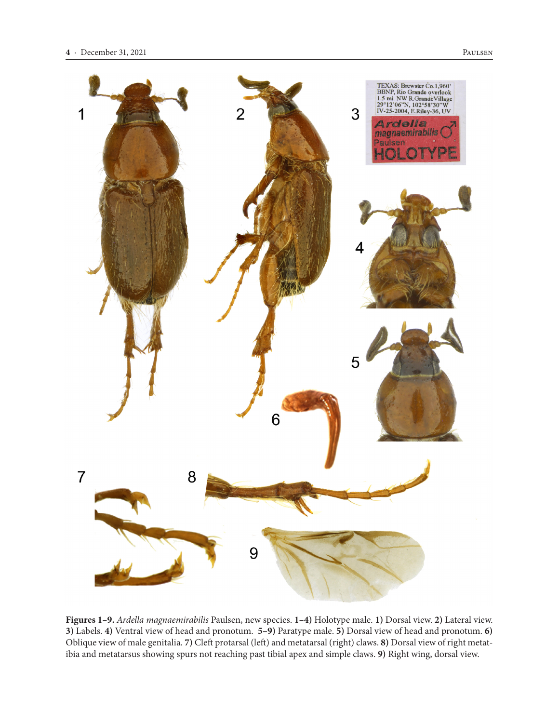

**Figures 1–9.** *Ardella magnaemirabilis* Paulsen, new species. **1–4)** Holotype male. **1)** Dorsal view. **2)** Lateral view. **3)** Labels. **4)** Ventral view of head and pronotum. **5–9)** Paratype male. **5)** Dorsal view of head and pronotum. **6)**  Oblique view of male genitalia. **7)** Cleft protarsal (left) and metatarsal (right) claws. **8)** Dorsal view of right metatibia and metatarsus showing spurs not reaching past tibial apex and simple claws. **9)** Right wing, dorsal view.